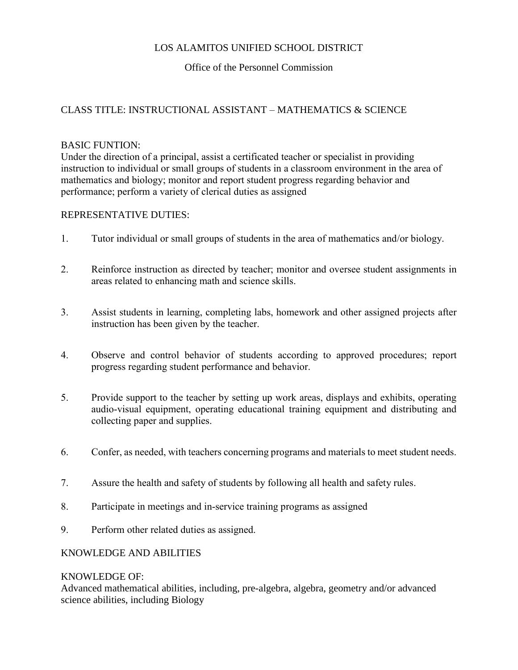# LOS ALAMITOS UNIFIED SCHOOL DISTRICT

# Office of the Personnel Commission

## CLASS TITLE: INSTRUCTIONAL ASSISTANT – MATHEMATICS & SCIENCE

## BASIC FUNTION:

Under the direction of a principal, assist a certificated teacher or specialist in providing instruction to individual or small groups of students in a classroom environment in the area of mathematics and biology; monitor and report student progress regarding behavior and performance; perform a variety of clerical duties as assigned

## REPRESENTATIVE DUTIES:

- 1. Tutor individual or small groups of students in the area of mathematics and/or biology.
- 2. Reinforce instruction as directed by teacher; monitor and oversee student assignments in areas related to enhancing math and science skills.
- 3. Assist students in learning, completing labs, homework and other assigned projects after instruction has been given by the teacher.
- 4. Observe and control behavior of students according to approved procedures; report progress regarding student performance and behavior.
- 5. Provide support to the teacher by setting up work areas, displays and exhibits, operating audio-visual equipment, operating educational training equipment and distributing and collecting paper and supplies.
- 6. Confer, as needed, with teachers concerning programs and materials to meet student needs.
- 7. Assure the health and safety of students by following all health and safety rules.
- 8. Participate in meetings and in-service training programs as assigned
- 9. Perform other related duties as assigned.

## KNOWLEDGE AND ABILITIES

#### KNOWLEDGE OF:

Advanced mathematical abilities, including, pre-algebra, algebra, geometry and/or advanced science abilities, including Biology